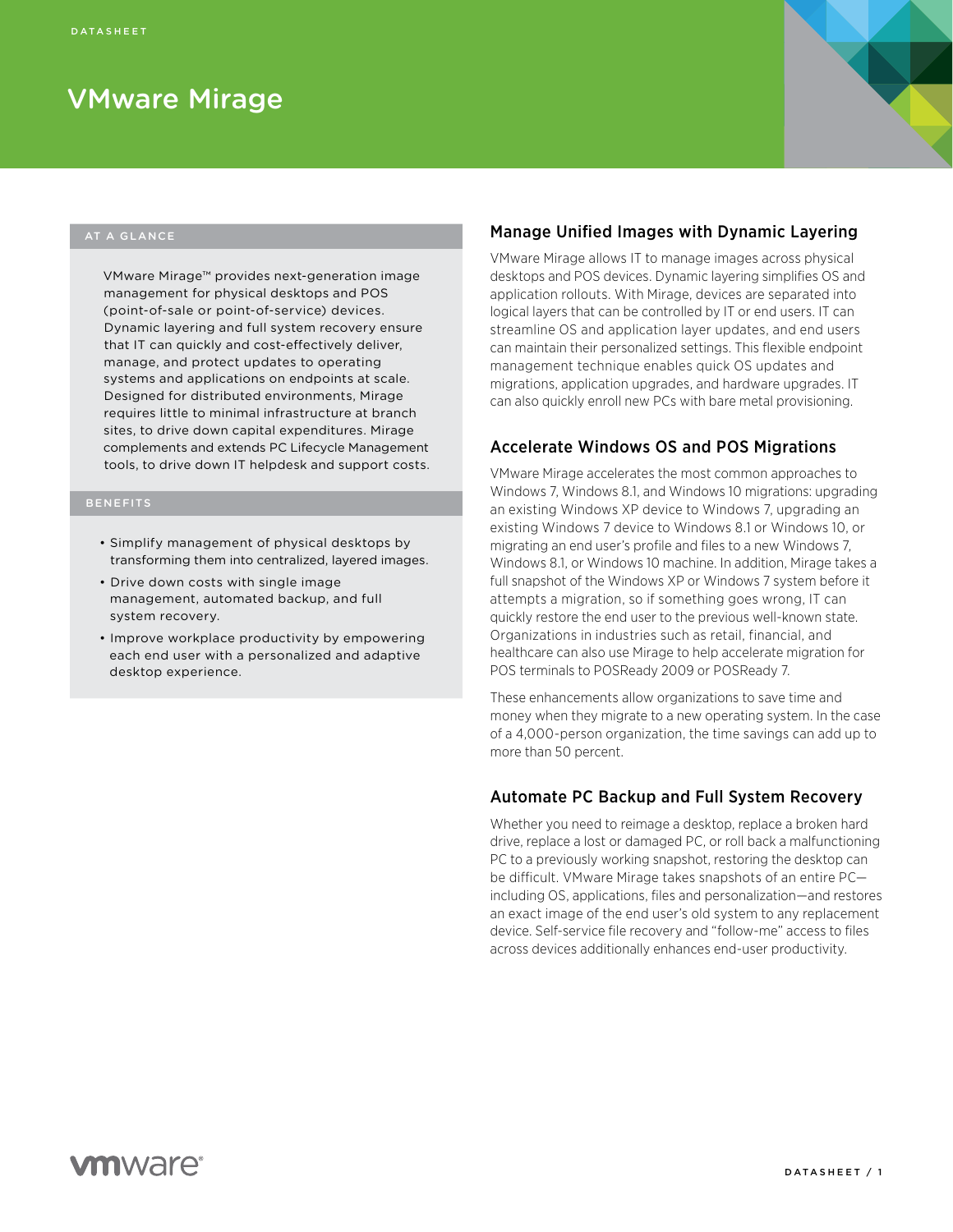# VMware Mirage

#### AT A GLANCE

VMware Mirage™ provides next-generation image management for physical desktops and POS (point-of-sale or point-of-service) devices. Dynamic layering and full system recovery ensure that IT can quickly and cost-effectively deliver, manage, and protect updates to operating systems and applications on endpoints at scale. Designed for distributed environments, Mirage requires little to minimal infrastructure at branch sites, to drive down capital expenditures. Mirage complements and extends PC Lifecycle Management tools, to drive down IT helpdesk and support costs.

- Simplify management of physical desktops by transforming them into centralized, layered images.
- Drive down costs with single image management, automated backup, and full system recovery.
- Improve workplace productivity by empowering each end user with a personalized and adaptive desktop experience.

#### Manage Unified Images with Dynamic Layering

VMware Mirage allows IT to manage images across physical desktops and POS devices. Dynamic layering simplifies OS and application rollouts. With Mirage, devices are separated into logical layers that can be controlled by IT or end users. IT can streamline OS and application layer updates, and end users can maintain their personalized settings. This flexible endpoint management technique enables quick OS updates and migrations, application upgrades, and hardware upgrades. IT can also quickly enroll new PCs with bare metal provisioning.

#### Accelerate Windows OS and POS Migrations

VMware Mirage accelerates the most common approaches to Windows 7, Windows 8.1, and Windows 10 migrations: upgrading an existing Windows XP device to Windows 7, upgrading an existing Windows 7 device to Windows 8.1 or Windows 10, or migrating an end user's profile and files to a new Windows 7, Windows 8.1, or Windows 10 machine. In addition, Mirage takes a full snapshot of the Windows XP or Windows 7 system before it attempts a migration, so if something goes wrong, IT can quickly restore the end user to the previous well-known state. Organizations in industries such as retail, financial, and healthcare can also use Mirage to help accelerate migration for POS terminals to POSReady 2009 or POSReady 7.

These enhancements allow organizations to save time and money when they migrate to a new operating system. In the case of a 4,000-person organization, the time savings can add up to more than 50 percent.

#### Automate PC Backup and Full System Recovery

Whether you need to reimage a desktop, replace a broken hard drive, replace a lost or damaged PC, or roll back a malfunctioning PC to a previously working snapshot, restoring the desktop can be difficult. VMware Mirage takes snapshots of an entire PC including OS, applications, files and personalization—and restores an exact image of the end user's old system to any replacement device. Self-service file recovery and "follow-me" access to files across devices additionally enhances end-user productivity.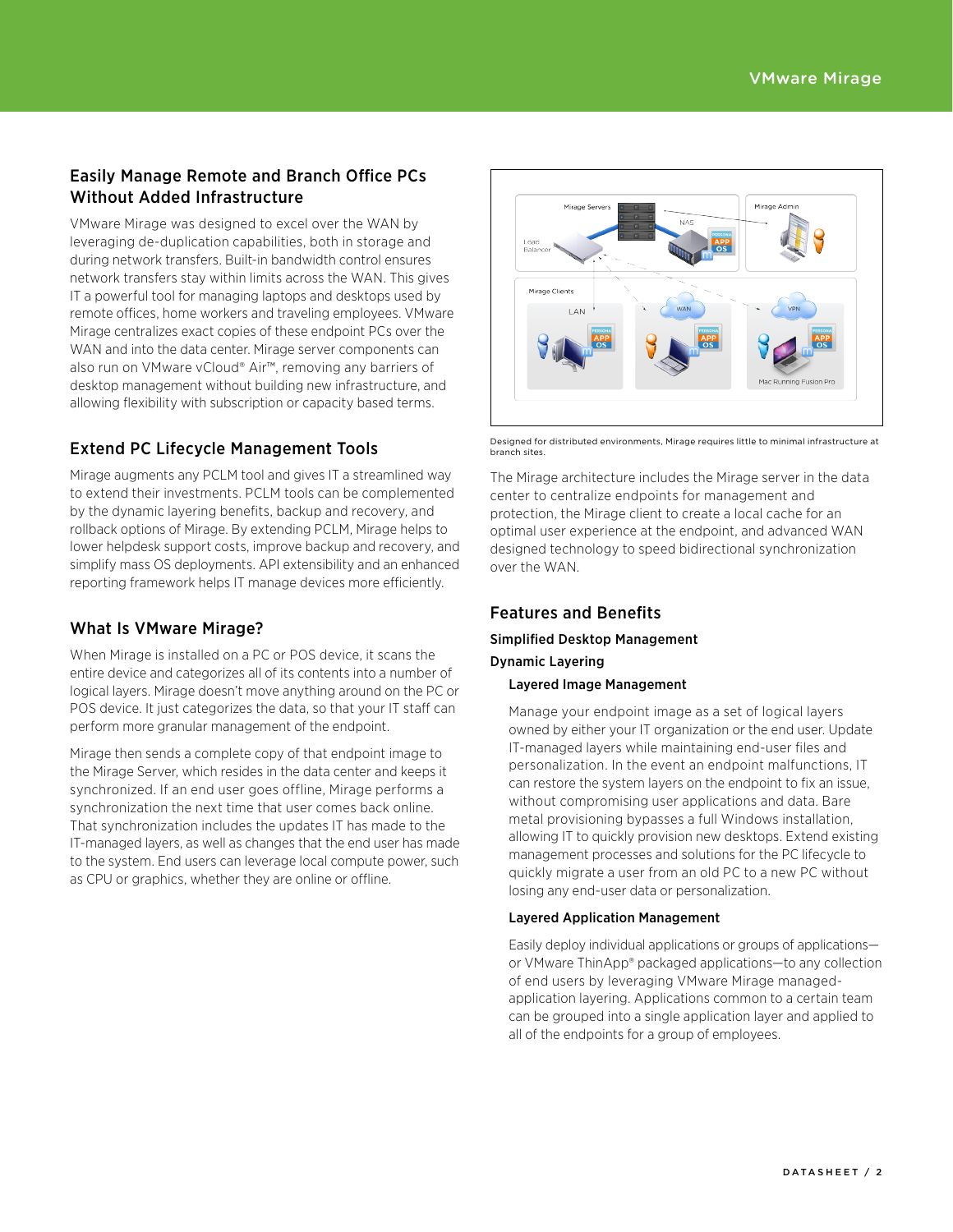# Easily Manage Remote and Branch Office PCs Without Added Infrastructure

VMware Mirage was designed to excel over the WAN by leveraging de-duplication capabilities, both in storage and during network transfers. Built-in bandwidth control ensures network transfers stay within limits across the WAN. This gives IT a powerful tool for managing laptops and desktops used by remote offices, home workers and traveling employees. VMware Mirage centralizes exact copies of these endpoint PCs over the WAN and into the data center. Mirage server components can also run on VMware vCloud® Air™, removing any barriers of desktop management without building new infrastructure, and allowing flexibility with subscription or capacity based terms.

# Extend PC Lifecycle Management Tools

Mirage augments any PCLM tool and gives IT a streamlined way to extend their investments. PCLM tools can be complemented by the dynamic layering benefits, backup and recovery, and rollback options of Mirage. By extending PCLM, Mirage helps to lower helpdesk support costs, improve backup and recovery, and simplify mass OS deployments. API extensibility and an enhanced reporting framework helps IT manage devices more efficiently.

# What Is VMware Mirage?

When Mirage is installed on a PC or POS device, it scans the entire device and categorizes all of its contents into a number of logical layers. Mirage doesn't move anything around on the PC or POS device. It just categorizes the data, so that your IT staff can perform more granular management of the endpoint.

Mirage then sends a complete copy of that endpoint image to the Mirage Server, which resides in the data center and keeps it synchronized. If an end user goes offline, Mirage performs a synchronization the next time that user comes back online. That synchronization includes the updates IT has made to the IT-managed layers, as well as changes that the end user has made to the system. End users can leverage local compute power, such as CPU or graphics, whether they are online or offline.



Designed for distributed environments, Mirage requires little to minimal infrastructure at branch sites.

The Mirage architecture includes the Mirage server in the data center to centralize endpoints for management and protection, the Mirage client to create a local cache for an optimal user experience at the endpoint, and advanced WAN designed technology to speed bidirectional synchronization over the WAN.

## Features and Benefits

# Simplified Desktop Management

#### Dynamic Layering

#### Layered Image Management

Manage your endpoint image as a set of logical layers owned by either your IT organization or the end user. Update IT-managed layers while maintaining end-user files and personalization. In the event an endpoint malfunctions, IT can restore the system layers on the endpoint to fix an issue, without compromising user applications and data. Bare metal provisioning bypasses a full Windows installation, allowing IT to quickly provision new desktops. Extend existing management processes and solutions for the PC lifecycle to quickly migrate a user from an old PC to a new PC without losing any end-user data or personalization.

#### Layered Application Management

Easily deploy individual applications or groups of applications or VMware ThinApp® packaged applications—to any collection of end users by leveraging VMware Mirage managedapplication layering. Applications common to a certain team can be grouped into a single application layer and applied to all of the endpoints for a group of employees.